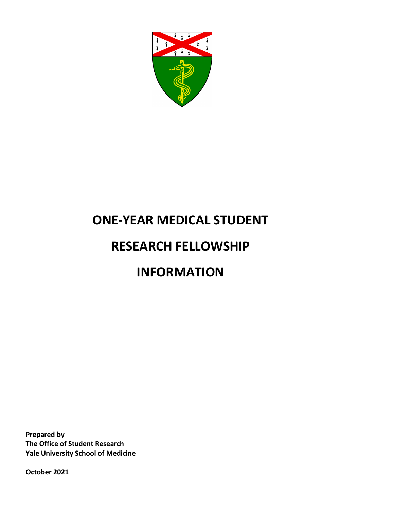

# **ONE-YEAR MEDICAL STUDENT**

# **RESEARCH FELLOWSHIP**

# **INFORMATION**

**Prepared by The Office of Student Research Yale University School of Medicine**

**October 2021**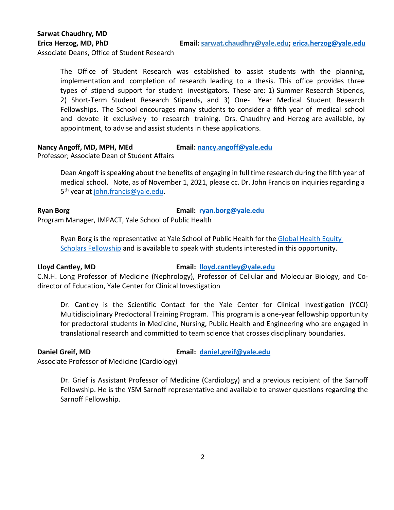Associate Deans, Office of Student Research

The Office of Student Research was established to assist students with the planning, implementation and completion of research leading to a thesis. This office provides three types of stipend support for student investigators. These are: 1) Summer Research Stipends, 2) Short-Term Student Research Stipends, and 3) One- Year Medical Student Research Fellowships. The School encourages many students to consider a fifth year of medical school and devote it exclusively to research training. Drs. Chaudhry and Herzog are available, by appointment, to advise and assist students in these applications.

#### **Nancy Angoff, MD, MPH, MEd Email: [nancy.angoff@yale.edu](mailto:nancy.angoff@yale.edu)**

Professor; Associate Dean of Student Affairs

Dean Angoff is speaking about the benefits of engaging in full time research during the fifth year of medical school. Note, as of November 1, 2021, please cc. Dr. John Francis on inquiries regarding a 5<sup>th</sup> year at [john.francis@yale.edu.](mailto:john.francis@yale.edu)

**Ryan Borg Email: ryan.borg@yale.edu**

Program Manager, IMPACT, Yale School of Public Health

Ryan Borg is the representative at Yale School of Public Health for the [Global Health Equity](http://ghes.berkeley.edu/)  [Scholars Fellowship](http://ghes.berkeley.edu/) and is available to speak with students interested in this opportunity.

### **Lloyd Cantley, MD Email: [lloyd.cantley@yale.edu](mailto:lloyd.cantley@yale.edu)**

C.N.H. Long Professor of Medicine (Nephrology), Professor of Cellular and Molecular Biology, and Codirector of Education, Yale Center for Clinical Investigation

Dr. Cantley is the Scientific Contact for the Yale Center for Clinical Investigation (YCCI) Multidisciplinary Predoctoral Training Program. This program is a one-year fellowship opportunity for predoctoral students in Medicine, Nursing, Public Health and Engineering who are engaged in translational research and committed to team science that crosses disciplinary boundaries.

**Daniel Greif, MD Email: daniel.greif@yale.edu**

Associate Professor of Medicine (Cardiology)

Dr. Grief is Assistant Professor of Medicine (Cardiology) and a previous recipient of the Sarnoff Fellowship. He is the YSM Sarnoff representative and available to answer questions regarding the Sarnoff Fellowship.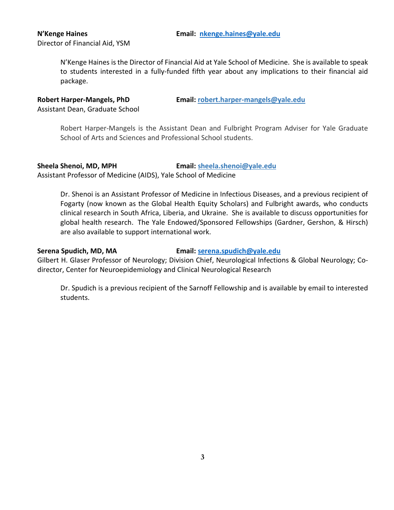# Director of Financial Aid, YSM

N'Kenge Haines is the Director of Financial Aid at Yale School of Medicine. She is available to speak to students interested in a fully-funded fifth year about any implications to their financial aid package.

**Robert Harper-Mangels, PhD Email: [robert.harper-mangels@yale.edu](mailto:robert.harper-mangels@yale.edu)**

Assistant Dean, Graduate School

Robert Harper-Mangels is the Assistant Dean and Fulbright Program Adviser for Yale Graduate School of Arts and Sciences and Professional School students.

**Sheela Shenoi, MD, MPH Email: [sheela.shenoi@yale.edu](mailto:sheela.shenoi@yale.edu)** Assistant Professor of Medicine (AIDS), Yale School of Medicine

Dr. Shenoi is an Assistant Professor of Medicine in Infectious Diseases, and a previous recipient of Fogarty (now known as the Global Health Equity Scholars) and Fulbright awards, who conducts clinical research in South Africa, Liberia, and Ukraine. She is available to discuss opportunities for global health research. The Yale Endowed/Sponsored Fellowships (Gardner, Gershon, & Hirsch) are also available to support international work.

### **Serena Spudich, MD, MA Email: serena.spudich@yale.edu**

Gilbert H. Glaser Professor of Neurology; Division Chief, Neurological Infections & Global Neurology; Codirector, Center for Neuroepidemiology and Clinical Neurological Research

Dr. Spudich is a previous recipient of the Sarnoff Fellowship and is available by email to interested students.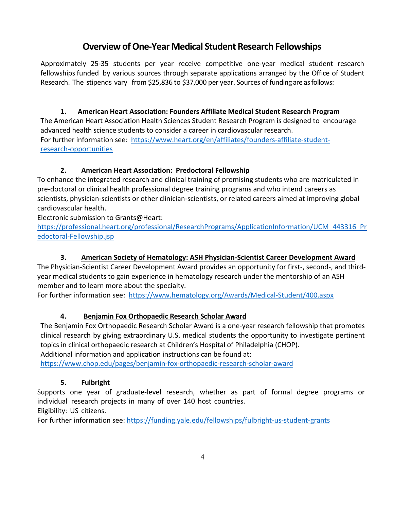# **Overview of One-Year Medical Student Research Fellowships**

Approximately 25-35 students per year receive competitive one-year medical student research fellowships funded by various sources through separate applications arranged by the Office of Student Research. The stipends vary from \$25,836 to \$37,000 per year. Sources of funding are as follows:

**1. American Heart Association: Founders Affiliate Medical Student Research Program** The American Heart Association Health Sciences Student Research Program is designed to encourage advanced health science students to consider a career in cardiovascular research. For further information see: [https://www.heart.org/en/affiliates/founders-affiliate-student](https://www.heart.org/en/affiliates/founders-affiliate-student-research-opportunities)[research-opportunities](https://www.heart.org/en/affiliates/founders-affiliate-student-research-opportunities)

### **2. American Heart Association: Predoctoral Fellowship**

To enhance the integrated research and clinical training of promising students who are matriculated in pre-doctoral or clinical health professional degree training programs and who intend careers as scientists, physician-scientists or other clinician-scientists, or related careers aimed at improving global cardiovascular health.

Electronic submission to Grants@Heart:

[https://professional.heart.org/professional/ResearchPrograms/ApplicationInformation/UCM\\_443316\\_Pr](https://professional.heart.org/professional/ResearchPrograms/ApplicationInformation/UCM_443316_Predoctoral-Fellowship.jsp) [edoctoral-Fellowship.jsp](https://professional.heart.org/professional/ResearchPrograms/ApplicationInformation/UCM_443316_Predoctoral-Fellowship.jsp)

# **3. American Society of Hematology: ASH Physician-Scientist Career Development Award**

The Physician-Scientist Career Development Award provides an opportunity for first-, second-, and thirdyear medical students to gain experience in hematology research under the mentorship of an ASH member and to learn more about the specialty.

For further information see: <https://www.hematology.org/Awards/Medical-Student/400.aspx>

### **4. Benjamin Fox Orthopaedic Research Scholar Award**

The Benjamin Fox Orthopaedic Research Scholar Award is a one-year research fellowship that promotes clinical research by giving extraordinary U.S. medical students the opportunity to investigate pertinent topics in clinical orthopaedic research at Children's Hospital of Philadelphia (CHOP).

Additional information and application instructions can be found at:

<https://www.chop.edu/pages/benjamin-fox-orthopaedic-research-scholar-award>

### **5. Fulbright**

Supports one year of graduate-level research, whether as part of formal degree programs or individual research projects in many of over 140 host countries. Eligibility: US citizens.

For further information see:<https://funding.yale.edu/fellowships/fulbright-us-student-grants>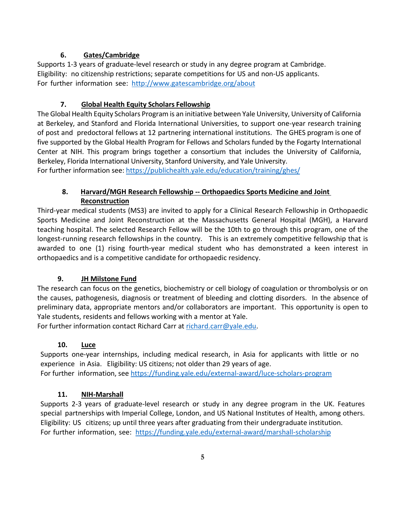## **6. Gates/Cambridge**

Supports 1-3 years of graduate-level research or study in any degree program at Cambridge. Eligibility: no citizenship restrictions; separate competitions for US and non-US applicants. For further information see:<http://www.gatescambridge.org/about>

## **7. Global Health Equity Scholars Fellowship**

The Global Health Equity Scholars Program is an initiative between Yale University, University of California at Berkeley, and Stanford and Florida International Universities, to support one-year research training of post and predoctoral fellows at 12 partnering international institutions. The GHES program is one of five supported by the Global Health Program for Fellows and Scholars funded by the Fogarty International Center at NIH. This program brings together a consortium that includes the University of California, Berkeley, Florida International University, Stanford University, and Yale University.

For further information see: <https://publichealth.yale.edu/education/training/ghes/>

# **8. Harvard/MGH Research Fellowship -- Orthopaedics Sports Medicine and Joint Reconstruction**

Third-year medical students (MS3) are invited to apply for a Clinical Research Fellowship in Orthopaedic Sports Medicine and Joint Reconstruction at the Massachusetts General Hospital (MGH), a Harvard teaching hospital. The selected Research Fellow will be the 10th to go through this program, one of the longest-running research fellowships in the country. This is an extremely competitive fellowship that is awarded to one (1) rising fourth-year medical student who has demonstrated a keen interest in orthopaedics and is a competitive candidate for orthopaedic residency.

# **9. JH Milstone Fund**

The research can focus on the genetics, biochemistry or cell biology of coagulation or thrombolysis or on the causes, pathogenesis, diagnosis or treatment of bleeding and clotting disorders. In the absence of preliminary data, appropriate mentors and/or collaborators are important. This opportunity is open to Yale students, residents and fellows working with a mentor at Yale.

For further information contact Richard Carr at [richard.carr@yale.edu.](mailto:richard.carr@yale.edu)

# **10. Luce**

Supports one-year internships, including medical research, in Asia for applicants with little or no experience in Asia. Eligibility: US citizens; not older than 29 years of age. For further information, see <https://funding.yale.edu/external-award/luce-scholars-program>

# **11. NIH-Marshall**

Supports 2-3 years of graduate-level research or study in any degree program in the UK. Features special partnerships with Imperial College, London, and US National Institutes of Health, among others. Eligibility: US citizens; up until three years after graduating from their undergraduate institution. For further information, see: <https://funding.yale.edu/external-award/marshall-scholarship>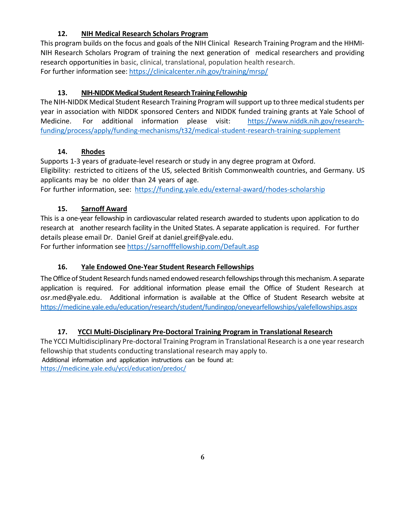# **12. NIH Medical Research Scholars Program**

This program builds on the focus and goals of the NIH Clinical Research Training Program and the HHMI-NIH Research Scholars Program of training the next generation of medical researchers and providing research opportunities in basic, clinical, translational, population health research. For further information see: <https://clinicalcenter.nih.gov/training/mrsp/>

# 13. NIH-NIDDK Medical Student Research Training Fellowship

The NIH-NIDDK Medical Student Research Training Program will support up to three medical students per year in association with NIDDK sponsored Centers and NIDDK funded training grants at Yale School of Medicine. For additional information please visit: [https://www.niddk.nih.gov/research](https://www.niddk.nih.gov/research-funding/process/apply/funding-mechanisms/t32/medical-student-research-training-supplement)[funding/process/apply/funding-mechanisms/t32/medical-student-research-training-supplement](https://www.niddk.nih.gov/research-funding/process/apply/funding-mechanisms/t32/medical-student-research-training-supplement)

# **14. Rhodes**

Supports 1-3 years of graduate-level research or study in any degree program at Oxford. Eligibility: restricted to citizens of the US, selected British Commonwealth countries, and Germany. US applicants may be no older than 24 years of age.

For further information, see: https://funding.yale.edu/external-award/rhodes-scholarship

# **15. Sarnoff Award**

This is a one-year fellowship in cardiovascular related research awarded to students upon application to do research at another research facility in the United States. A separate application is required. For further details please email Dr. Daniel Greif at daniel.greif@yale.edu.

For further information see<https://sarnofffellowship.com/Default.asp>

# **16. Yale Endowed One-Year Student Research Fellowships**

The Office of Student Research funds named endowed research fellowships through this mechanism. A separate application is required. For additional information please email the Office of Student Research at osr.med@yale.edu. Additional information is available at the Office of Student Research website at <https://medicine.yale.edu/education/research/student/fundingop/oneyearfellowships/yalefellowships.aspx>

# **17. YCCI Multi-Disciplinary Pre-Doctoral Training Program in Translational Research**

The YCCI Multidisciplinary Pre-doctoral Training Program in Translational Research is a one year research fellowship that students conducting translational research may apply to. Additional information and application instructions can be found at: <https://medicine.yale.edu/ycci/education/predoc/>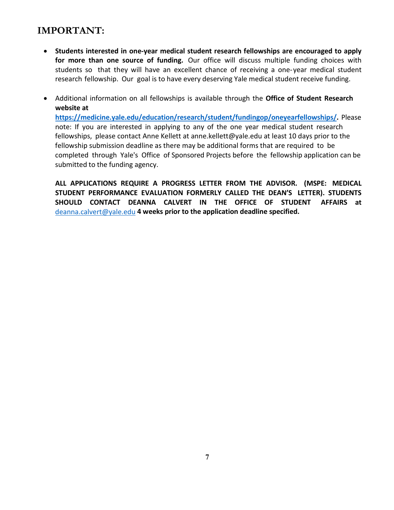# **IMPORTANT:**

- **Students interested in one-year medical student research fellowships are encouraged to apply for more than one source of funding.** Our office will discuss multiple funding choices with students so that they will have an excellent chance of receiving a one-year medical student research fellowship. Our goal is to have every deserving Yale medical student receive funding.
- Additional information on all fellowships is available through the **Office of Student Research website at [https://medicine.yale.edu/education/research/student/fundingop/oneyearfellowships/.](https://medicine.yale.edu/education/research/student/fundingop/oneyearfellowships/)** Please note: If you are interested in applying to any of the one year medical student research fellowships, please contact Anne Kellett at anne.kellett@yale.edu at least 10 days prior to the fellowship submission deadline as there may be additional forms that are required to be completed through Yale's Office of Sponsored Projects before the fellowship application can be submitted to the funding agency.

**ALL APPLICATIONS REQUIRE A PROGRESS LETTER FROM THE ADVISOR. (MSPE: MEDICAL STUDENT PERFORMANCE EVALUATION FORMERLY CALLED THE DEAN'S LETTER). STUDENTS SHOULD CONTACT DEANNA CALVERT IN THE OFFICE OF STUDENT AFFAIRS at**  [deanna.calvert@yale.edu](file://cfs.yale.edu/home/691108-MSTDNT_Student_Research-Student_Files/2018OneYearResFellowshipOppMtg/deanna.calvert@yale.edu%20) **4 weeks prior to the application deadline specified.**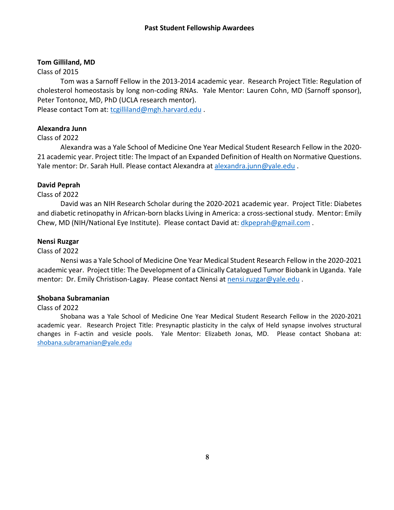#### **Tom Gilliland, MD**

#### Class of 2015

Tom was a Sarnoff Fellow in the 2013-2014 academic year. Research Project Title: Regulation of cholesterol homeostasis by long non-coding RNAs. Yale Mentor: Lauren Cohn, MD (Sarnoff sponsor), Peter Tontonoz, MD, PhD (UCLA research mentor).

Please contact Tom at: [tcgilliland@mgh.harvard.edu](mailto:tcgilliland@mgh.harvard.edu) .

### **Alexandra Junn**

#### Class of 2022

Alexandra was a Yale School of Medicine One Year Medical Student Research Fellow in the 2020- 21 academic year. Project title: The Impact of an Expanded Definition of Health on Normative Questions. Yale mentor: Dr. Sarah Hull. Please contact Alexandra at [alexandra.junn@yale.edu](mailto:alexandra.junn@yale.edu) .

#### **David Peprah**

#### Class of 2022

David was an NIH Research Scholar during the 2020-2021 academic year. Project Title: Diabetes and diabetic retinopathy in African-born blacks Living in America: a cross-sectional study. Mentor: Emily Chew, MD (NIH/National Eye Institute). Please contact David at: [dkpeprah@gmail.com](mailto:dkpeprah@gmail.com) .

#### **Nensi Ruzgar**

#### Class of 2022

Nensi was a Yale School of Medicine One Year Medical Student Research Fellow in the 2020-2021 academic year. Project title: The Development of a Clinically Catalogued Tumor Biobank in Uganda. Yale mentor: Dr. Emily Christison-Lagay. Please contact Nensi at [nensi.ruzgar@yale.edu](mailto:nensi.ruzgar@yale.edu) .

#### **Shobana Subramanian**

### Class of 2022

Shobana was a Yale School of Medicine One Year Medical Student Research Fellow in the 2020-2021 academic year. Research Project Title: Presynaptic plasticity in the calyx of Held synapse involves structural changes in F-actin and vesicle pools. Yale Mentor: Elizabeth Jonas, MD. Please contact Shobana at: [shobana.subramanian@yale.edu](mailto:shobana.subramanian@yale.edu)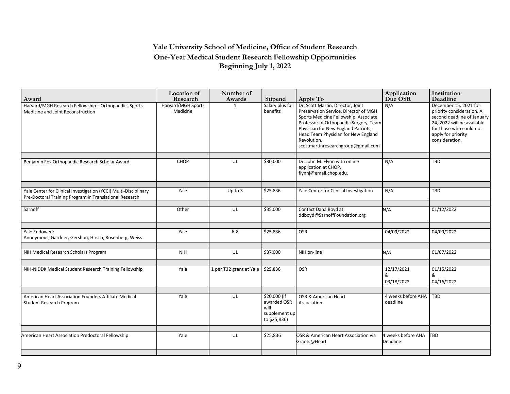## **Yale University School of Medicine, Office of Student Research One-Year Medical Student Research Fellowship Opportunities Beginning July 1, 2022**

| Award                                                                                                                       | <b>Location</b> of<br>Research | Number of<br>Awards     | <b>Stipend</b>                                                       | Apply To                                                                                                                                                                                                                                                                                         | Application<br>Due OSR         | Institution<br>Deadline                                                                                                                                                           |
|-----------------------------------------------------------------------------------------------------------------------------|--------------------------------|-------------------------|----------------------------------------------------------------------|--------------------------------------------------------------------------------------------------------------------------------------------------------------------------------------------------------------------------------------------------------------------------------------------------|--------------------------------|-----------------------------------------------------------------------------------------------------------------------------------------------------------------------------------|
| Harvard/MGH Research Fellowship-Orthopaedics Sports<br>Medicine and Joint Reconstruction                                    | Harvard/MGH Sports<br>Medicine | $\mathbf{1}$            | Salary plus full<br>benefits                                         | Dr. Scott Martin, Director, Joint<br>Preservation Service, Director of MGH<br>Sports Medicine Fellowship, Associate<br>Professor of Orthopaedic Surgery, Team<br>Physician for New England Patriots,<br>Head Team Physician for New England<br>Revolution.<br>scottmartinresearchgroup@gmail.com | N/A                            | December 15, 2021 for<br>priority consideration. A<br>second deadline of January<br>24, 2022 will be available<br>for those who could not<br>apply for priority<br>consideration. |
| Benjamin Fox Orthopaedic Research Scholar Award                                                                             | CHOP                           | UL                      | \$30,000                                                             | Dr. John M. Flynn with online<br>application at CHOP,<br>flynnj@email.chop.edu.                                                                                                                                                                                                                  | N/A                            | <b>TBD</b>                                                                                                                                                                        |
| Yale Center for Clinical Investigation (YCCI) Multi-Disciplinary<br>Pre-Doctoral Training Program in Translational Research | Yale                           | $Up$ to $3$             | \$25,836                                                             | Yale Center for Clinical Investigation                                                                                                                                                                                                                                                           | N/A                            | TBD                                                                                                                                                                               |
| Sarnoff                                                                                                                     | Other                          | UL                      | \$35,000                                                             | Contact Dana Boyd at<br>ddboyd@SarnoffFoundation.org                                                                                                                                                                                                                                             | N/A                            | 01/12/2022                                                                                                                                                                        |
| Yale Endowed:<br>Anonymous, Gardner, Gershon, Hirsch, Rosenberg, Weiss                                                      | Yale                           | $6-8$                   | \$25,836                                                             | <b>OSR</b>                                                                                                                                                                                                                                                                                       | 04/09/2022                     | 04/09/2022                                                                                                                                                                        |
| NIH Medical Research Scholars Program                                                                                       | <b>NIH</b>                     | UL                      | \$37,000                                                             | NIH on-line                                                                                                                                                                                                                                                                                      | N/A                            | 01/07/2022                                                                                                                                                                        |
| NIH-NIDDK Medical Student Research Training Fellowship                                                                      | Yale                           | 1 per T32 grant at Yale | \$25,836                                                             | OSR                                                                                                                                                                                                                                                                                              | 12/17/2021<br>&<br>03/18/2022  | 01/15/2022<br>&<br>04/16/2022                                                                                                                                                     |
| American Heart Association Founders Affiliate Medical<br>Student Research Program                                           | Yale                           | UL                      | \$20,000 (if<br>awarded OSR<br>will<br>supplement up<br>to \$25,836) | OSR & American Heart<br>Association                                                                                                                                                                                                                                                              | 4 weeks before AHA<br>deadline | TBD                                                                                                                                                                               |
| American Heart Association Predoctoral Fellowship                                                                           | Yale                           | UL                      | \$25,836                                                             | OSR & American Heart Association via<br>Grants@Heart                                                                                                                                                                                                                                             | 4 weeks before AHA<br>Deadline | <b>TBD</b>                                                                                                                                                                        |
|                                                                                                                             |                                |                         |                                                                      |                                                                                                                                                                                                                                                                                                  |                                |                                                                                                                                                                                   |